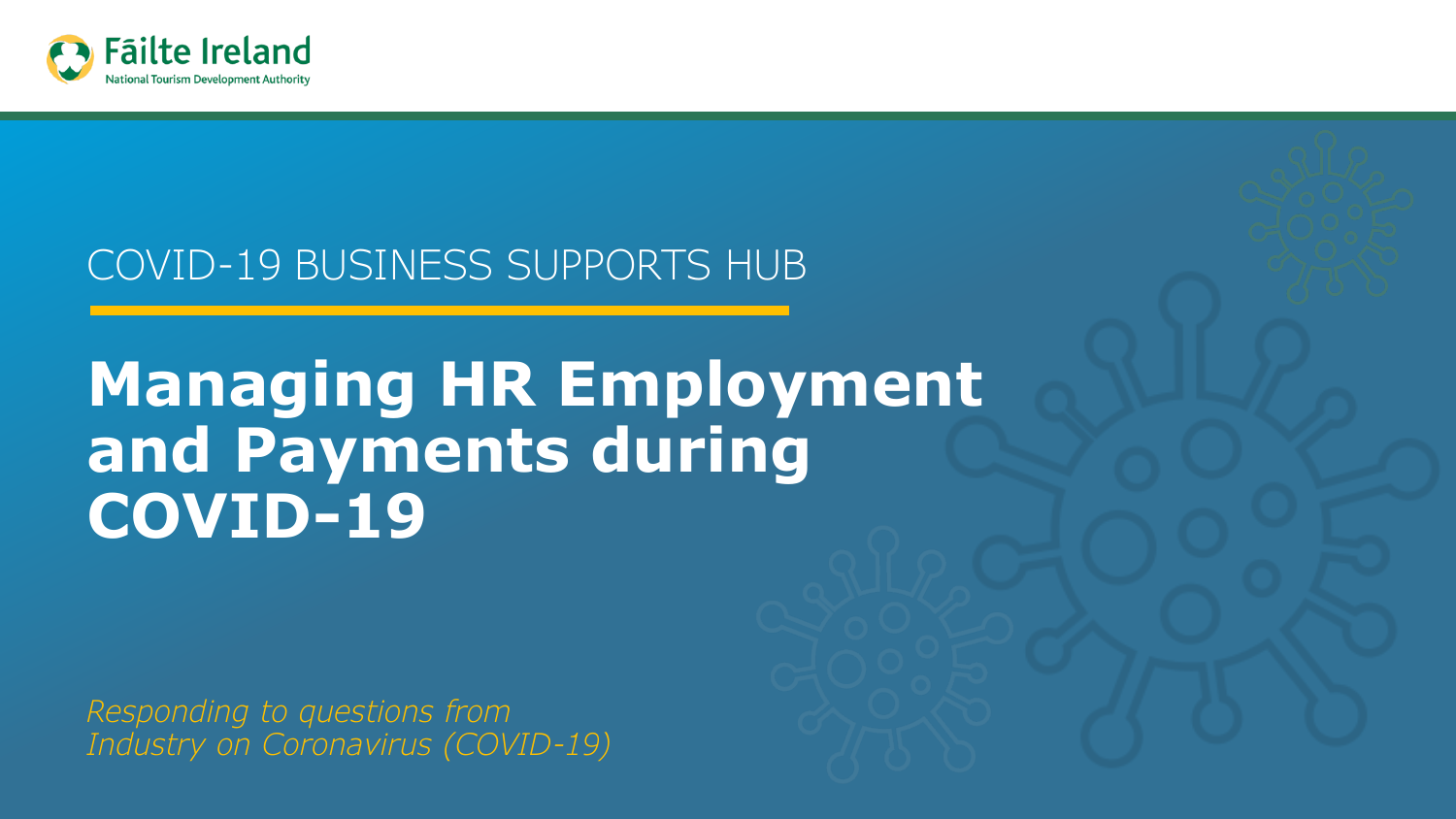

### COVID-19 BUSINESS SUPPORTS HUB

# **Managing HR Employment and Payments during COVID-19**

*Responding to questions from Industry on Coronavirus (COVID-19)*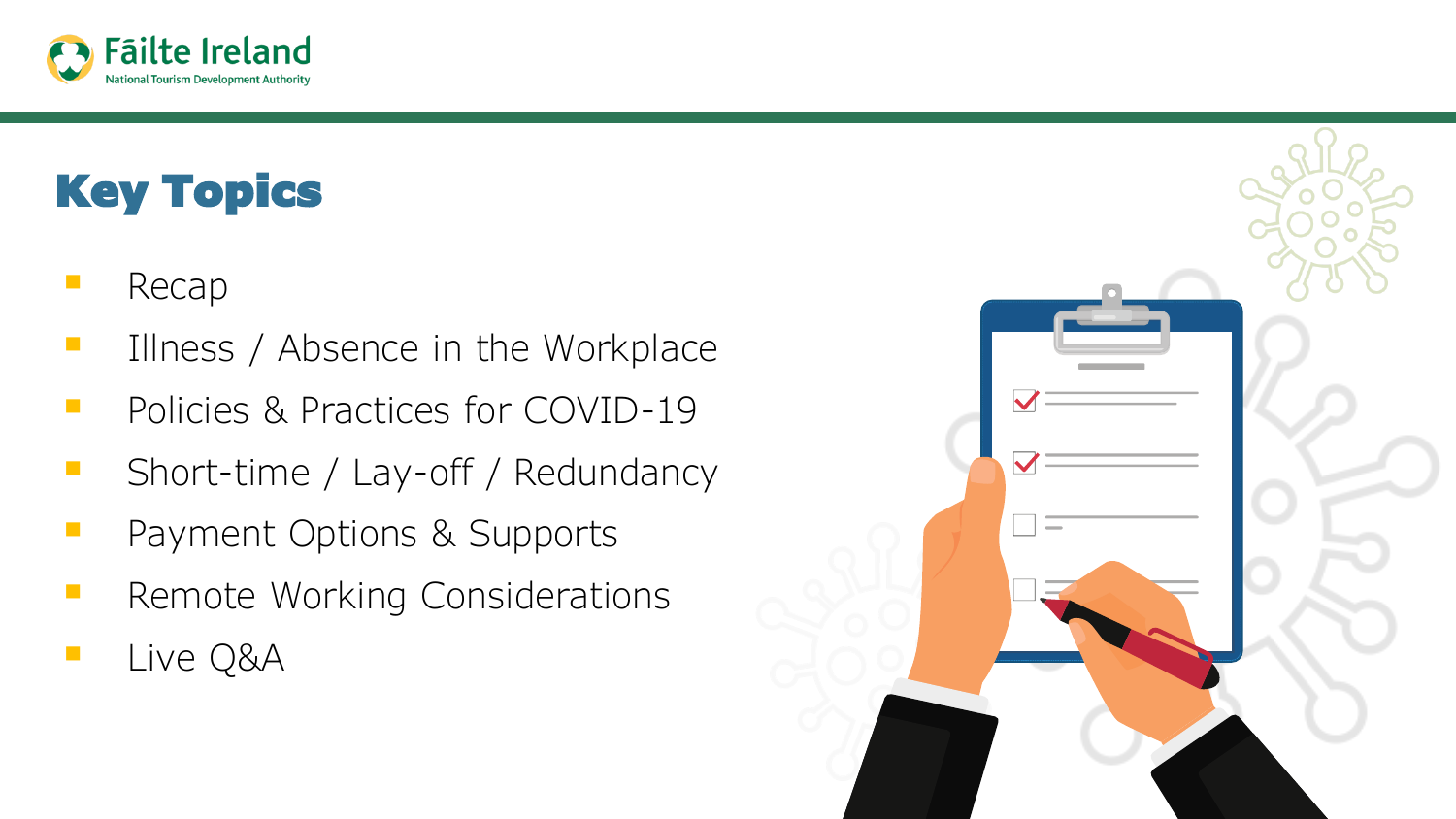

# Key Topics

- **Recap**
- **EXECUTE:** Illness / Absence in the Workplace
- **Property** Policies & Practices for COVID-19
- Short-time / Lay-off / Redundancy
- Payment Options & Supports
- Remote Working Considerations
- Live Q&A

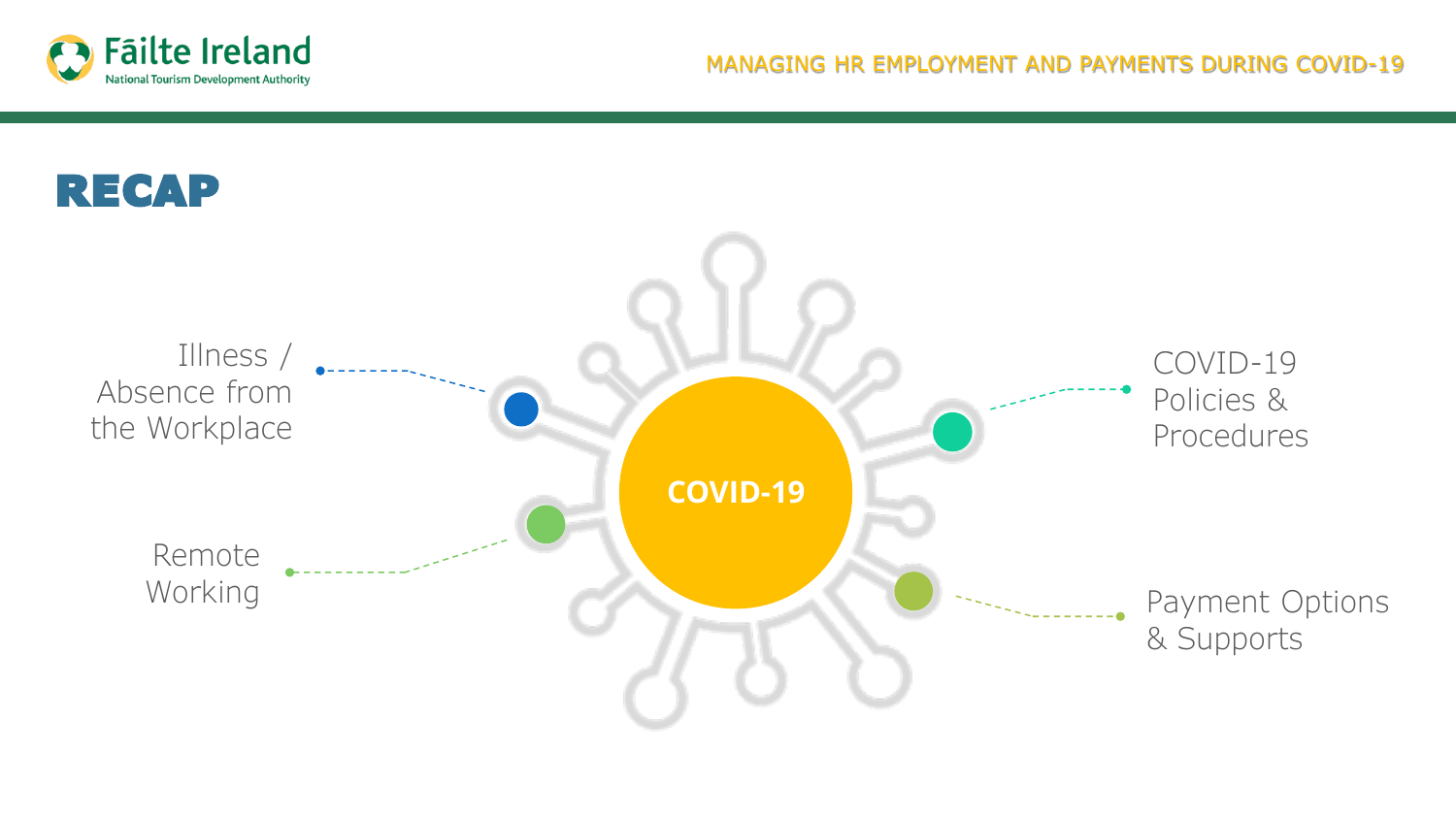

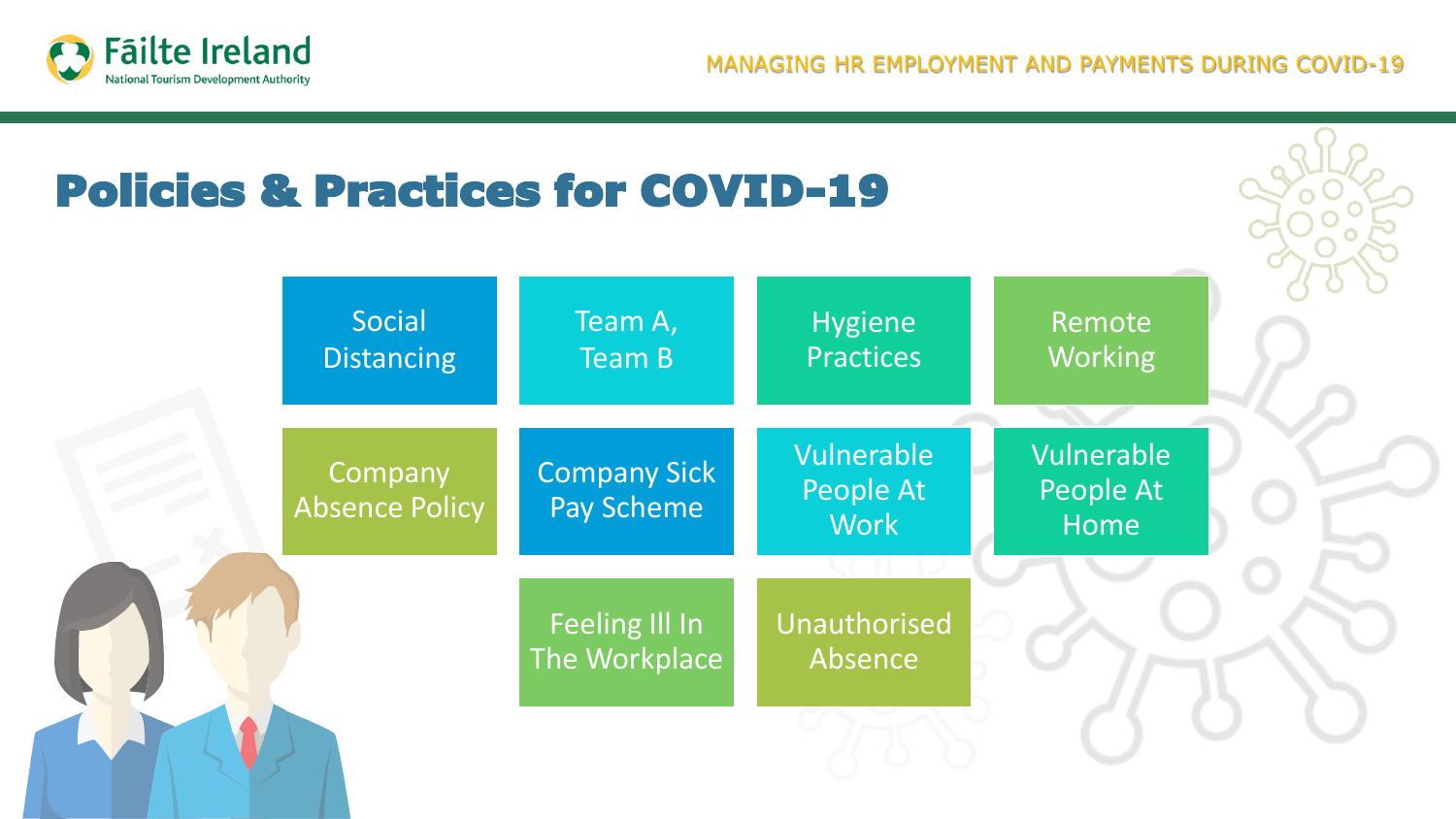

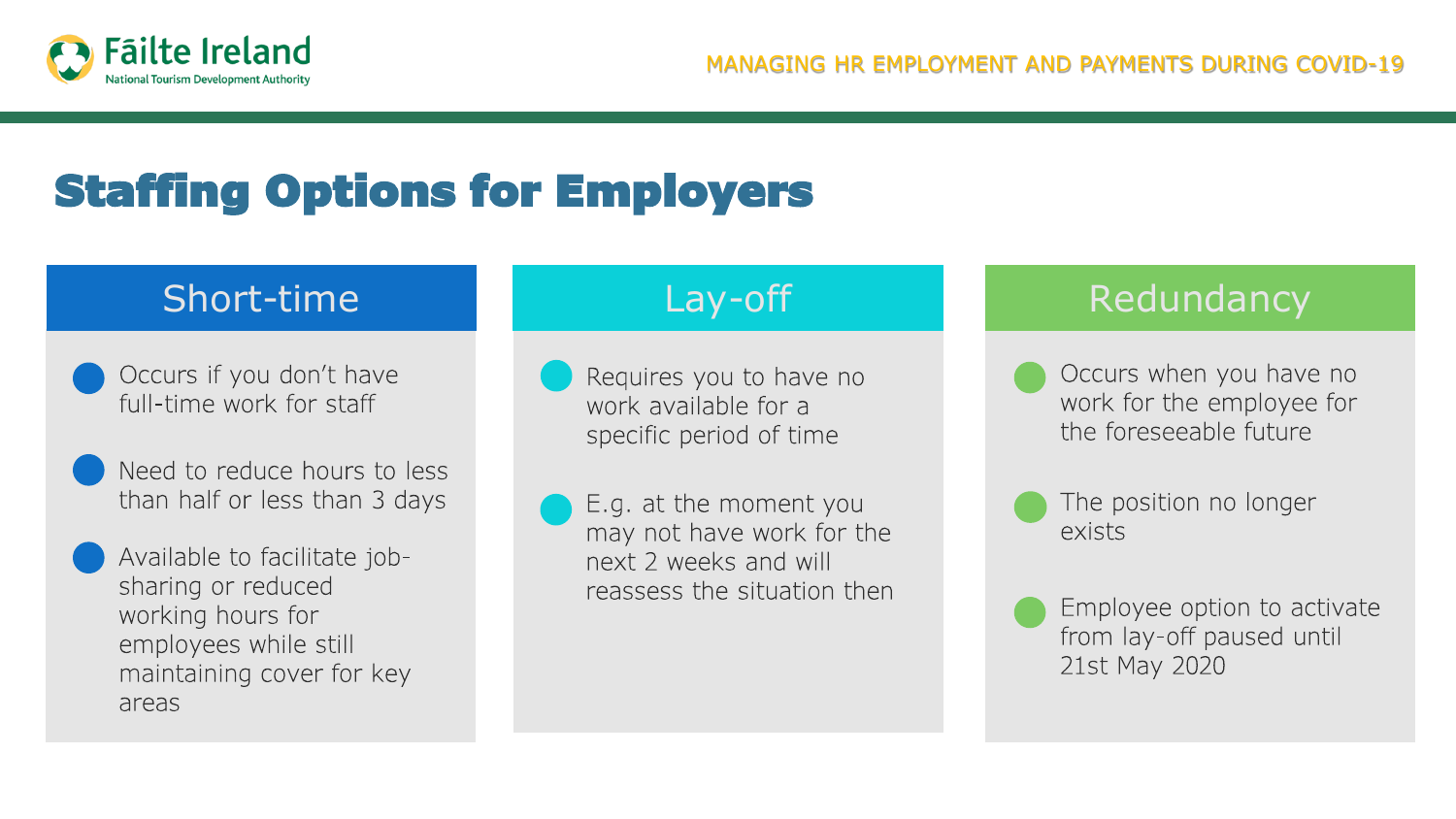

# Staffing Options for Employers

- Occurs if you don't have full-time work for staff
- Need to reduce hours to less than half or less than 3 days
- Available to facilitate jobsharing or reduced working hours for employees while still maintaining cover for key areas

- Requires you to have no work available for a specific period of time
- E.g. at the moment you may not have work for the next 2 weeks and will reassess the situation then

### Short-time **Lay-off** Lay-off Redundancy

- Occurs when you have no work for the employee for the foreseeable future
- exists

The position no longer

Employee option to activate from lay-off paused until 21st May 2020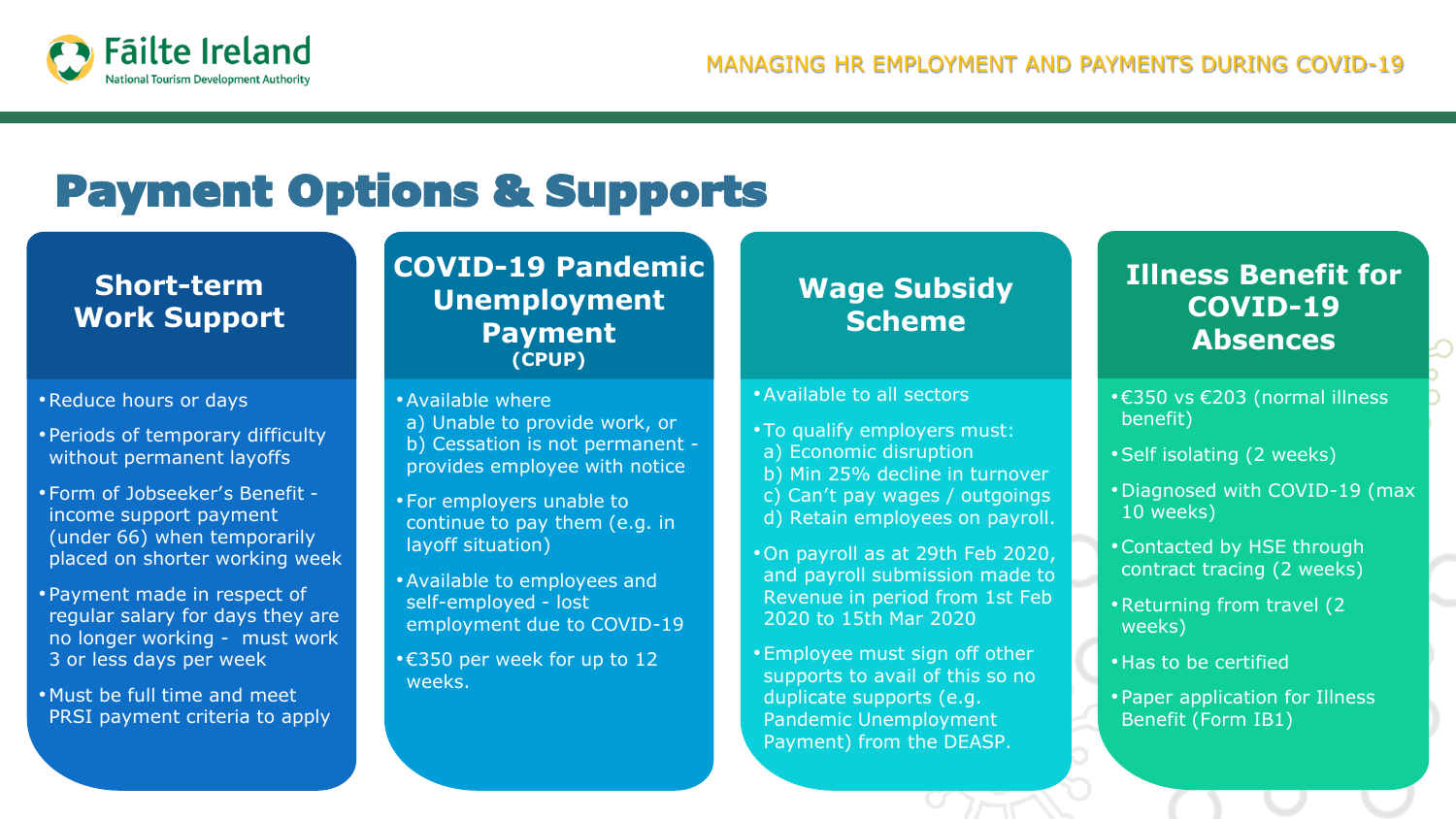

## Payment Options & Supports

#### **Short-term Work Support**

- •Reduce hours or days
- Periods of temporary difficulty without permanent layoffs
- Form of Jobseeker's Benefit income support payment (under 66) when temporarily placed on shorter working week
- Payment made in respect of regular salary for days they are no longer working - must work 3 or less days per week
- Must be full time and meet PRSI payment criteria to apply

#### **COVID-19 Pandemic Unemployment Payment (CPUP)**

- •Available where
- a) Unable to provide work, or b) Cessation is not permanent provides employee with notice
- For employers unable to continue to pay them (e.g. in layoff situation)
- •Available to employees and self-employed - lost employment due to COVID-19
- •€350 per week for up to 12 weeks.

### **Wage Subsidy Scheme**

#### •Available to all sectors

- To qualify employers must:
- a) Economic disruption
- b) Min 25% decline in turnover
- c) Can't pay wages / outgoings
- d) Retain employees on payroll.
- •On payroll as at 29th Feb 2020, and payroll submission made to Revenue in period from 1st Feb 2020 to 15th Mar 2020
- •Employee must sign off other supports to avail of this so no duplicate supports (e.g. Pandemic Unemployment Payment) from the DEASP.

### **Illness Benefit for COVID-19 Absences**

- •€350 vs €203 (normal illness benefit)
- •Self isolating (2 weeks)
- •Diagnosed with COVID-19 (max 10 weeks)
- •Contacted by HSE through contract tracing (2 weeks)
- •Returning from travel (2 weeks)
- Has to be certified
- Paper application for Illness Benefit (Form IB1)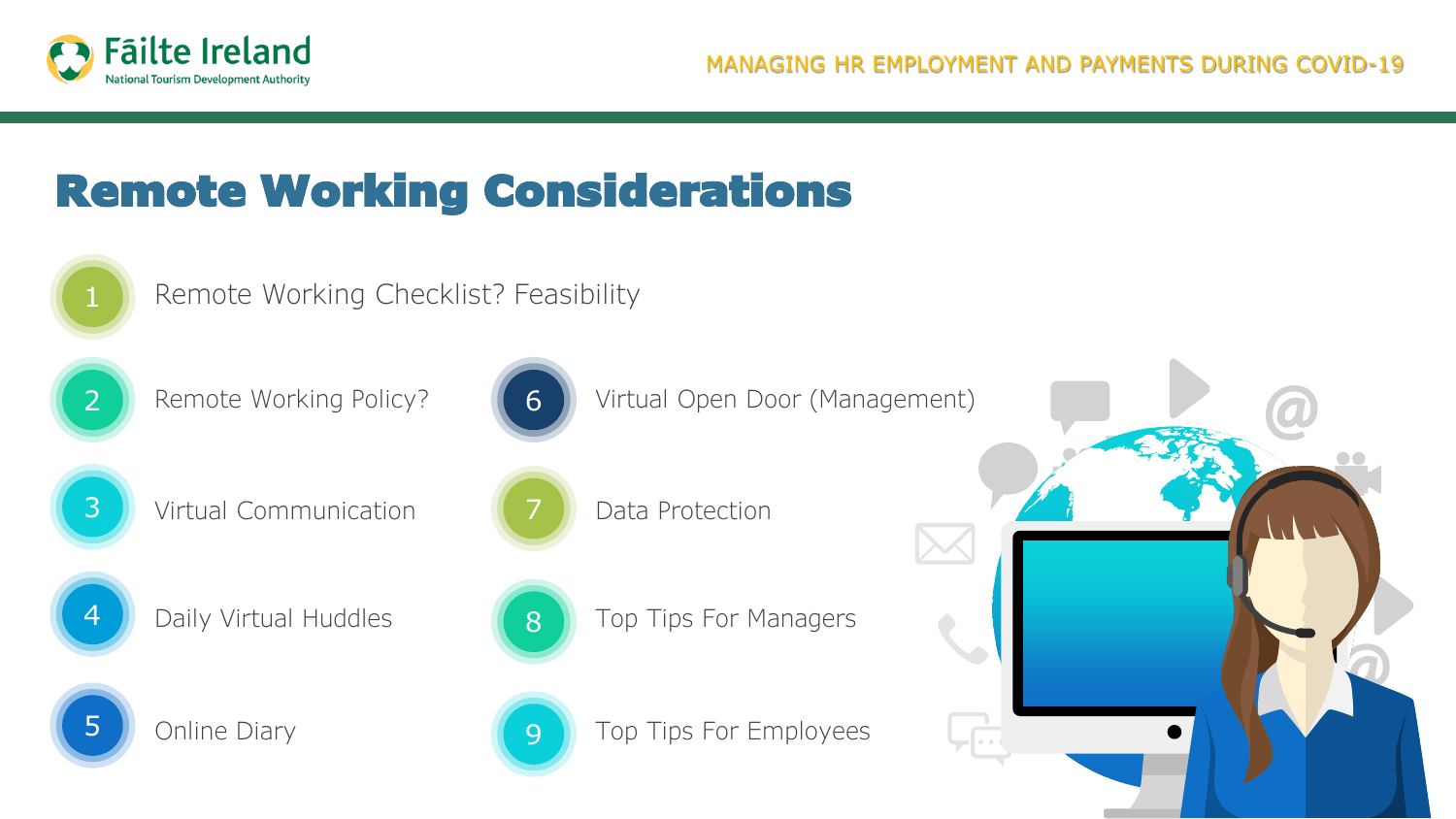

# Remote Working Considerations



Remote Working Checklist? Feasibility



2 Remote Working Policy?



3 Virtual Communication



4 **Daily Virtual Huddles** 



5 **J** Online Diary



6 Virtual Open Door (Management)

Data Protection

8 Top Tips For Managers



**9** Top Tips For Employees

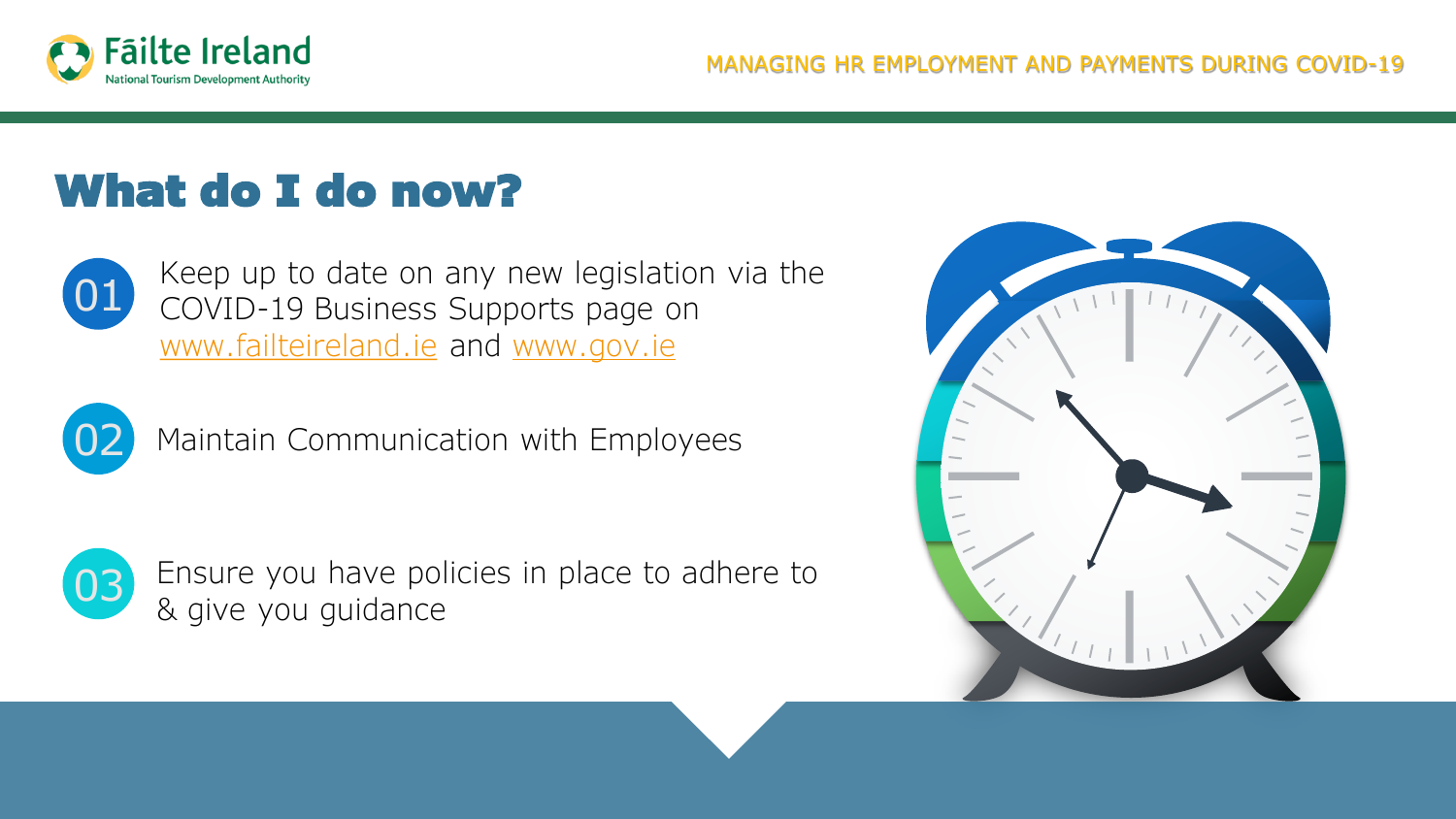

# What do I do now?



Keep up to date on any new legislation via the COVID-19 Business Supports page on [www.failteireland.ie](http://www.failteireland.ie/) and [www.gov.ie](http://www.gov.ie/)



Maintain Communication with Employees



03 Ensure you have policies in place to adhere to & give you guidance

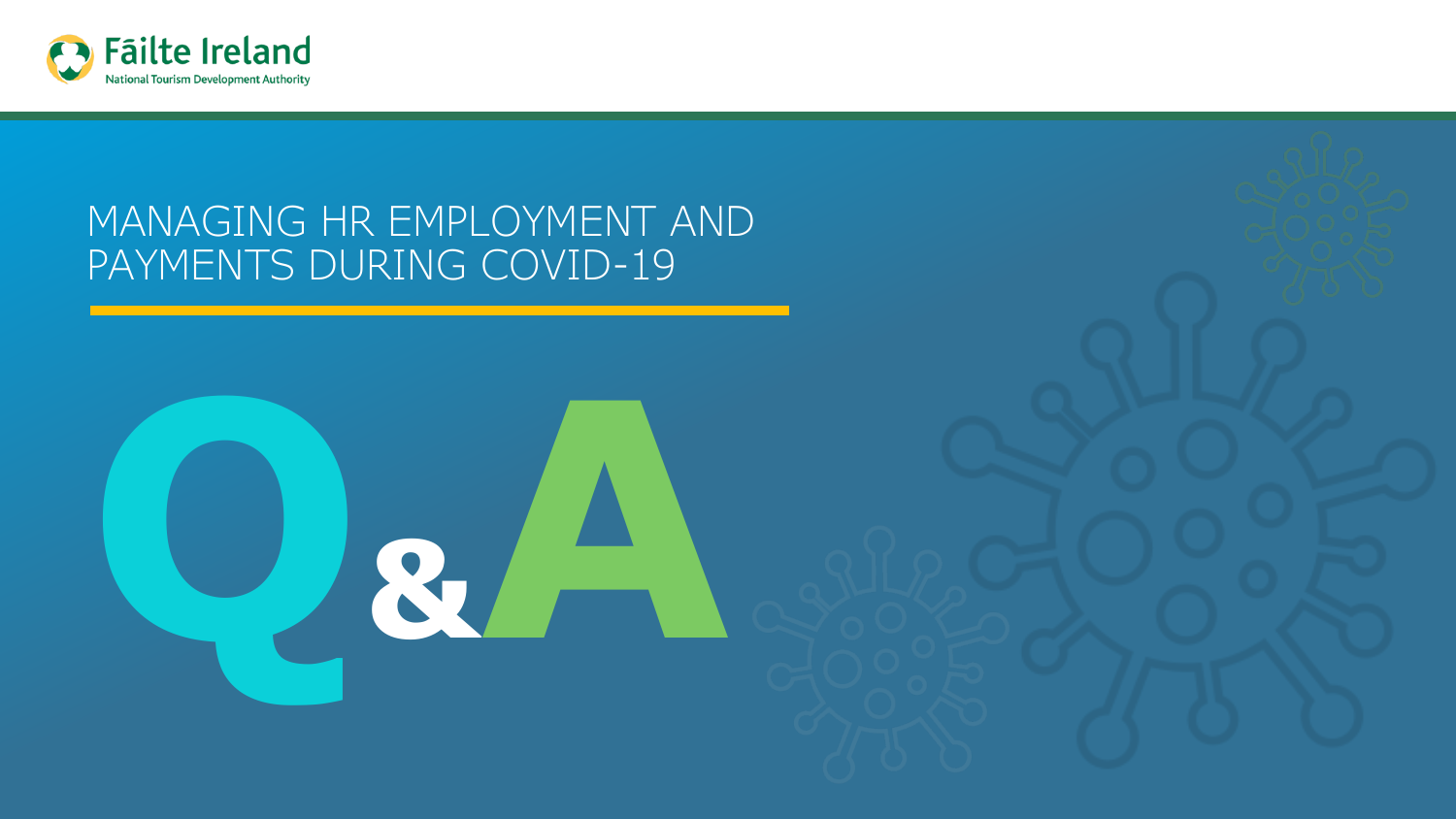

### MANAGING HR EMPLOYMENT AND PAYMENTS DURING COVID-19

**Q&A**